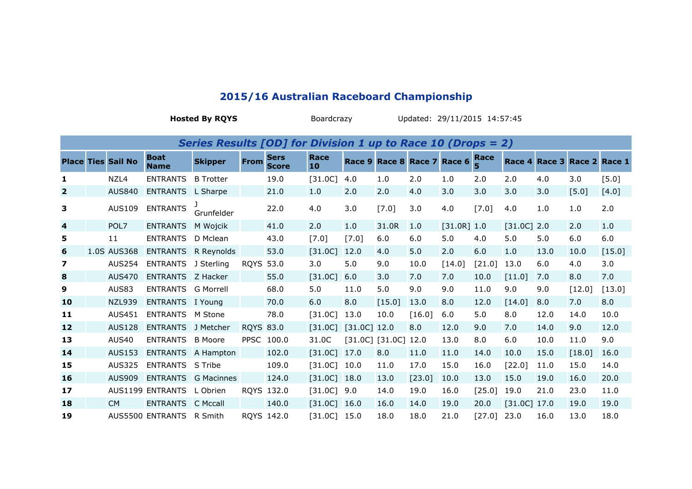| Series Results [OD] for Division 1 up to Race 10 (Drops = 2) |  |                           |                            |                  |                  |                             |            |                |                     |        |                             |           |               |      |                             |          |
|--------------------------------------------------------------|--|---------------------------|----------------------------|------------------|------------------|-----------------------------|------------|----------------|---------------------|--------|-----------------------------|-----------|---------------|------|-----------------------------|----------|
|                                                              |  | <b>Place Ties Sail No</b> | <b>Boat</b><br><b>Name</b> | <b>Skipper</b>   | <b>From</b>      | <b>Sers</b><br><b>Score</b> | Race<br>10 |                |                     |        | Race 9 Race 8 Race 7 Race 6 | Race<br>5 |               |      | Race 4 Race 3 Race 2 Race 1 |          |
| 1                                                            |  | NZL4                      | <b>ENTRANTS</b>            | <b>B</b> Trotter |                  | 19.0                        | $[31.0C]$  | 4.0            | 1.0                 | 2.0    | 1.0                         | 2.0       | 2.0           | 4.0  | 3.0                         | [5.0]    |
| $\overline{2}$                                               |  | <b>AUS840</b>             | <b>ENTRANTS</b>            | L Sharpe         |                  | 21.0                        | 1.0        | 2.0            | 2.0                 | 4.0    | 3.0                         | 3.0       | 3.0           | 3.0  | $[5.0]$                     | [4.0]    |
| 3                                                            |  | <b>AUS109</b>             | <b>ENTRANTS</b>            | Grunfelder       |                  | 22.0                        | 4.0        | 3.0            | $[7.0]$             | 3.0    | 4.0                         | [7.0]     | 4.0           | 1.0  | 1.0                         | 2.0      |
| 4                                                            |  | POL7                      | <b>ENTRANTS</b>            | M Wojcik         |                  | 41.0                        | 2.0        | 1.0            | 31.0R               | 1.0    | $[31.0R]$ 1.0               |           | $[31.0C]$ 2.0 |      | 2.0                         | 1.0      |
| 5                                                            |  | 11                        | <b>ENTRANTS</b>            | D Mclean         |                  | 43.0                        | $[7.0]$    | [7.0]          | 6.0                 | 6.0    | 5.0                         | 4.0       | 5.0           | 5.0  | 6.0                         | 6.0      |
| 6                                                            |  | 1.0S AUS368               | <b>ENTRANTS</b>            | R Reynolds       |                  | 53.0                        | $[31.0C]$  | 12.0           | 4.0                 | 5.0    | 2.0                         | 6.0       | 1.0           | 13.0 | 10.0                        | $[15.0]$ |
| $\overline{\mathbf{z}}$                                      |  | <b>AUS254</b>             | <b>ENTRANTS</b>            | J Sterling       | <b>ROYS</b>      | 53.0                        | 3.0        | 5.0            | 9.0                 | 10.0   | [14.0]                      | [21.0]    | 13.0          | 6.0  | 4.0                         | 3.0      |
| 8                                                            |  | <b>AUS470</b>             | <b>ENTRANTS</b>            | Z Hacker         |                  | 55.0                        | $[31.0C]$  | 6.0            | 3.0                 | 7.0    | 7.0                         | 10.0      | [11.0]        | 7.0  | 8.0                         | 7.0      |
| 9                                                            |  | AUS83                     | <b>ENTRANTS</b>            | <b>G Morrell</b> |                  | 68.0                        | 5.0        | 11.0           | 5.0                 | 9.0    | 9.0                         | 11.0      | 9.0           | 9.0  | [12.0]                      | [13.0]   |
| 10                                                           |  | <b>NZL939</b>             | <b>ENTRANTS</b>            | I Young          |                  | 70.0                        | 6.0        | 8.0            | [15.0]              | 13.0   | 8.0                         | 12.0      | [14.0]        | 8.0  | 7.0                         | 8.0      |
| 11                                                           |  | <b>AUS451</b>             | <b>ENTRANTS</b>            | M Stone          |                  | 78.0                        | $[31.0C]$  | 13.0           | 10.0                | [16.0] | 6.0                         | 5.0       | 8.0           | 12.0 | 14.0                        | 10.0     |
| 12                                                           |  | <b>AUS128</b>             | <b>ENTRANTS</b>            | J Metcher        | <b>RQYS 83.0</b> |                             | $[31.0C]$  | $[31.0C]$ 12.0 |                     | 8.0    | 12.0                        | 9.0       | 7.0           | 14.0 | 9.0                         | 12.0     |
| 13                                                           |  | <b>AUS40</b>              | <b>ENTRANTS</b>            | <b>B</b> Moore   |                  | PPSC 100.0                  | 31.0C      |                | $[31.0C]$ $[31.0C]$ | 12.0   | 13.0                        | 8.0       | 6.0           | 10.0 | 11.0                        | 9.0      |
| 14                                                           |  | <b>AUS153</b>             | <b>ENTRANTS</b>            | A Hampton        |                  | 102.0                       | $[31.0C]$  | 17.0           | 8.0                 | 11.0   | 11.0                        | 14.0      | 10.0          | 15.0 | [18.0]                      | 16.0     |
| 15                                                           |  | <b>AUS325</b>             | <b>ENTRANTS</b>            | S Tribe          |                  | 109.0                       | $[31.0C]$  | 10.0           | 11.0                | 17.0   | 15.0                        | 16.0      | [22.0]        | 11.0 | 15.0                        | 14.0     |
| 16                                                           |  | <b>AUS909</b>             | <b>ENTRANTS</b>            | G Macinnes       |                  | 124.0                       | $[31.0C]$  | 18.0           | 13.0                | [23.0] | 10.0                        | 13.0      | 15.0          | 19.0 | 16.0                        | 20.0     |
| 17                                                           |  |                           | AUS1199 ENTRANTS           | L Obrien         |                  | RQYS 132.0                  | $[31.0C]$  | 9.0            | 14.0                | 19.0   | 16.0                        | [25.0]    | 19.0          | 21.0 | 23.0                        | 11.0     |
| 18                                                           |  | <b>CM</b>                 | <b>ENTRANTS</b>            | C Mccall         |                  | 140.0                       | $[31.0C]$  | 16.0           | 16.0                | 14.0   | 19.0                        | 20.0      | $[31.0C]$     | 17.0 | 19.0                        | 19.0     |
| 19                                                           |  |                           | AUS5500 ENTRANTS           | R Smith          |                  | RQYS 142.0                  | $[31.0C]$  | 15.0           | 18.0                | 18.0   | 21.0                        | [27.0]    | 23.0          | 16.0 | 13.0                        | 18.0     |

## **2015/16 Australian Raceboard Championship**

**Hosted By RQYS** BoardcrazyUpdated: 29/11/2015 14:57:45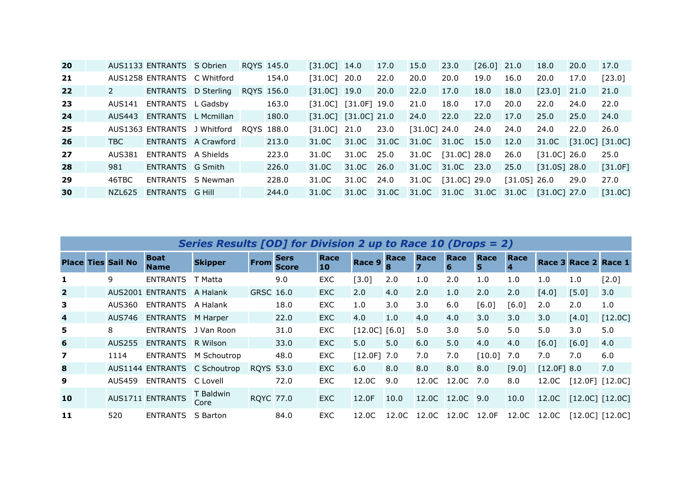| <b>20</b> |               | AUS1133 ENTRANTS S Obrien   |  | ROYS 145.0 | $[31.0C]$ 14.0           |              | 17.0 | 15.0           | 23.0           | $[26.0]$ 21.0 |                          | 18.0           | 20.0 | 17.0                  |
|-----------|---------------|-----------------------------|--|------------|--------------------------|--------------|------|----------------|----------------|---------------|--------------------------|----------------|------|-----------------------|
| 21        |               | AUS1258 ENTRANTS C Whitford |  | 154.0      | [31.0C]                  | - 20.0       | 22.0 | 20.0           | 20.0           | 19.0          | 16.0                     | 20.0           | 17.0 | [23.0]                |
| 22        | $\mathcal{L}$ | ENTRANTS D Sterling         |  | ROYS 156.0 | $[31.0C]$ 19.0           |              | 20.0 | 22.0           | 17.0           | 18.0          | 18.0                     | $[23.0]$       | 21.0 | 21.0                  |
| -23       | AUS141        | ENTRANTS L Gadsby           |  | 163.0      | [31.0C]                  | [31.0F] 19.0 |      | 21.0           | 18.0           | 17.0          | 20.0                     | 22.0           | 24.0 | 22.0                  |
| 24        | AUS443        | <b>ENTRANTS</b> L Mcmillan  |  | 180.0      | $[31.0C]$ $[31.0C]$ 21.0 |              |      | 24.0           | 22.0           | 22.0          | 17.0                     | 25.0           | 25.0 | 24.0                  |
| 25        |               | AUS1363 ENTRANTS J Whitford |  | ROYS 188.0 | [31.0C]                  | 21.0         | 23.0 | $[31.0C]$ 24.0 |                | 24.0          | 24.0                     | 24.0           | 22.0 | 26.0                  |
| 26        | TBC.          | ENTRANTS A Crawford         |  | 213.0      | 31.0C                    | 31.0C 31.0C  |      | 31.0C 31.0C    |                | 15.0          | 12.0                     |                |      | 31.0C [31.0C] [31.0C] |
| 27        | AUS381        | ENTRANTS A Shields          |  | 223.0      | 31.0C                    | 31.0C 25.0   |      | 31.0C          | $[31.0C]$ 28.0 |               | 26.0                     | $[31.0C]$ 26.0 |      | 25.0                  |
| 28        | 981           | ENTRANTS G Smith            |  | 226.0      | 31.0C                    | 31.0C 26.0   |      | 31.0C 31.0C    |                | 23.0          | 25.0                     | $[31.0S]$ 28.0 |      | $[31.0F]$             |
| 29        | 46TBC         | ENTRANTS S Newman           |  | 228.0      | 31.0C                    | 31.0C 24.0   |      | 31.0C          | $[31.0C]$ 29.0 |               | $[31.0S]$ 26.0           |                | 29.0 | 27.0                  |
| 30        | NZL625        | ENTRANTS G Hill             |  | 244.0      | 31.0C                    | 31.0C 31.0C  |      | 31.0C 31.0C    |                |               | 31.0C 31.0C [31.0C] 27.0 |                |      | $[31.0C]$             |

| Series Results [OD] for Division 2 up to Race 10 (Drops = 2) |  |                           |                            |                              |                  |                             |            |           |       |                     |                 |           |           |                             |                       |           |
|--------------------------------------------------------------|--|---------------------------|----------------------------|------------------------------|------------------|-----------------------------|------------|-----------|-------|---------------------|-----------------|-----------|-----------|-----------------------------|-----------------------|-----------|
|                                                              |  | <b>Place Ties Sail No</b> | <b>Boat</b><br><b>Name</b> | <b>Skipper</b>               | <b>From</b>      | <b>Sers</b><br><b>Score</b> | Race<br>10 | Race 9    | Race  | Race                | Race<br>6       | Race<br>5 | Race<br>4 |                             | Race 3 Race 2 Race 1  |           |
| 1                                                            |  | 9                         | <b>ENTRANTS</b>            | T Matta                      |                  | 9.0                         | <b>EXC</b> | [3.0]     | 2.0   | 1.0                 | 2.0             | 1.0       | 1.0       | 1.0                         | 1.0                   | $[2.0]$   |
| $\overline{\mathbf{2}}$                                      |  |                           | AUS2001 ENTRANTS A Halank  |                              | GRSC 16.0        |                             | <b>EXC</b> | 2.0       | 4.0   | 2.0                 | 1.0             | 2.0       | 2.0       | [4.0]                       | [5.0]                 | 3.0       |
| 3                                                            |  | AUS360                    | ENTRANTS                   | A Halank                     |                  | 18.0                        | <b>EXC</b> | 1.0       | 3.0   | 3.0                 | 6.0             | [6.0]     | [6.0]     | 2.0                         | 2.0                   | 1.0       |
| $\overline{\mathbf{4}}$                                      |  | <b>AUS746</b>             | <b>ENTRANTS</b> M Harper   |                              |                  | 22.0                        | <b>EXC</b> | 4.0       | 1.0   | 4.0                 | 4.0             | 3.0       | 3.0       | 3.0                         | $[4.0]$               | $[12.0C]$ |
| 5                                                            |  | 8                         |                            | ENTRANTS J Van Roon          |                  | 31.0                        | <b>EXC</b> | $[12.0C]$ | [6.0] | 5.0                 | 3.0             | 5.0       | 5.0       | 5.0                         | 3.0                   | 5.0       |
| 6                                                            |  | AUS255                    | <b>ENTRANTS</b> R Wilson   |                              |                  | 33.0                        | <b>EXC</b> | 5.0       | 5.0   | 6.0                 | 5.0             | 4.0       | 4.0       | [6.0]                       | [6.0]                 | 4.0       |
| $\overline{\mathbf{z}}$                                      |  | 1114                      | <b>ENTRANTS</b>            | M Schoutrop                  |                  | 48.0                        | <b>EXC</b> | $[12.0F]$ | 7.0   | 7.0                 | 7.0             | [10.0]    | 7.0       | 7.0                         | 7.0                   | 6.0       |
| 8                                                            |  |                           |                            | AUS1144 ENTRANTS C Schoutrop | <b>ROYS 53.0</b> |                             | <b>EXC</b> | 6.0       | 8.0   | 8.0                 | 8.0             | 8.0       | [9.0]     | $[12.0F]$ 8.0               |                       | 7.0       |
| 9                                                            |  | <b>AUS459</b>             | ENTRANTS                   | C Lovell                     |                  | 72.0                        | <b>EXC</b> | 12.0C     | 9.0   |                     | 12.0C 12.0C     | 7.0       | 8.0       | 12.0C                       | $[12.0F]$ $[12.0C]$   |           |
| 10                                                           |  |                           | <b>AUS1711 ENTRANTS</b>    | T Baldwin<br>Core            | <b>RQYC</b> 77.0 |                             | <b>EXC</b> | 12.0F     | 10.0  |                     | 12.0C 12.0C 9.0 |           | 10.0      |                             | 12.0C [12.0C] [12.0C] |           |
| 11                                                           |  | 520                       | <b>ENTRANTS</b>            | S Barton                     |                  | 84.0                        | <b>EXC</b> | 12.0C     | 12.0C | 12.0C  12.0C  12.0F |                 |           |           | 12.0C 12.0C [12.0C] [12.0C] |                       |           |